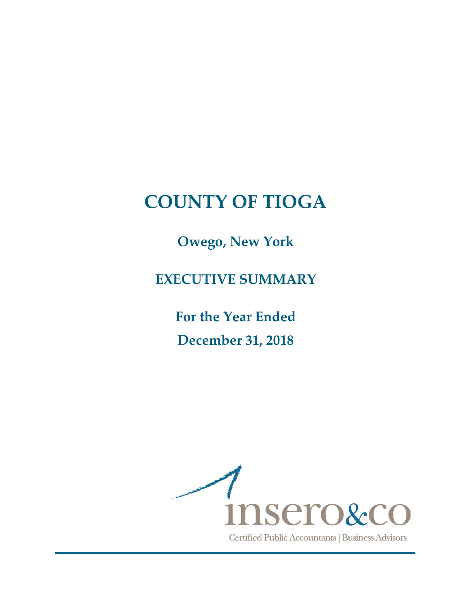**Owego, New York**

**EXECUTIVE SUMMARY**

**For the Year Ended December 31, 2018**

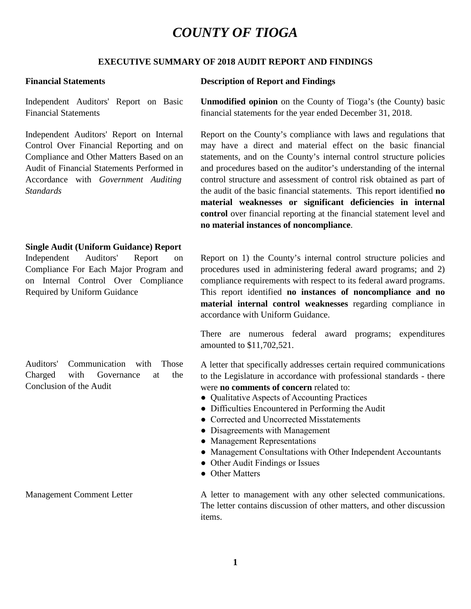#### **EXECUTIVE SUMMARY OF 2018 AUDIT REPORT AND FINDINGS**

Independent Auditors' Report on Basic Financial Statements

Independent Auditors' Report on Internal Control Over Financial Reporting and on Compliance and Other Matters Based on an Audit of Financial Statements Performed in Accordance with *Government Auditing Standards*

#### **Single Audit (Uniform Guidance) Report**

Independent Auditors' Report on Compliance For Each Major Program and on Internal Control Over Compliance Required by Uniform Guidance

Auditors' Communication with Those Charged with Governance at the Conclusion of the Audit

#### **Financial Statements Description of Report and Findings**

**Unmodified opinion** on the County of Tioga's (the County) basic financial statements for the year ended December 31, 2018.

Report on the County's compliance with laws and regulations that may have a direct and material effect on the basic financial statements, and on the County's internal control structure policies and procedures based on the auditor's understanding of the internal control structure and assessment of control risk obtained as part of the audit of the basic financial statements. This report identified **no material weaknesses or significant deficiencies in internal control** over financial reporting at the financial statement level and **no material instances of noncompliance**.

Report on 1) the County's internal control structure policies and procedures used in administering federal award programs; and 2) compliance requirements with respect to its federal award programs. This report identified **no instances of noncompliance and no material internal control weaknesses** regarding compliance in accordance with Uniform Guidance.

There are numerous federal award programs; expenditures amounted to \$11,702,521.

A letter that specifically addresses certain required communications to the Legislature in accordance with professional standards - there were **no comments of concern** related to:

- Qualitative Aspects of Accounting Practices
- Difficulties Encountered in Performing the Audit
- Corrected and Uncorrected Misstatements
- Disagreements with Management
- Management Representations
- Management Consultations with Other Independent Accountants
- Other Audit Findings or Issues
- Other Matters

Management Comment Letter A letter A letter to management with any other selected communications. The letter contains discussion of other matters, and other discussion items.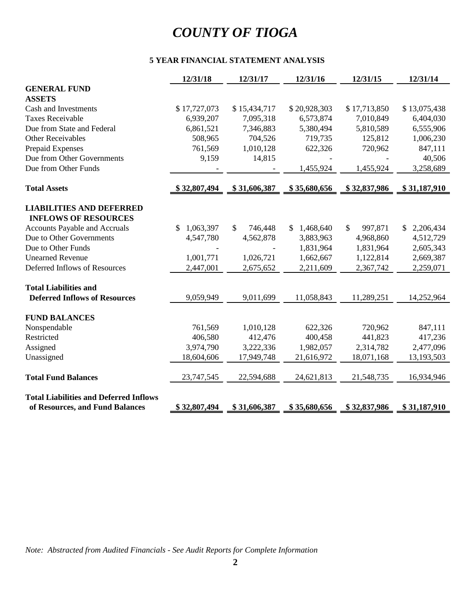#### **5 YEAR FINANCIAL STATEMENT ANALYSIS**

|                                               | 12/31/18        | 12/31/17      | 12/31/16     | 12/31/15                             | 12/31/14        |
|-----------------------------------------------|-----------------|---------------|--------------|--------------------------------------|-----------------|
| <b>GENERAL FUND</b>                           |                 |               |              |                                      |                 |
| <b>ASSETS</b>                                 |                 |               |              |                                      |                 |
| Cash and Investments                          | \$17,727,073    | \$15,434,717  | \$20,928,303 | \$17,713,850                         | \$13,075,438    |
| <b>Taxes Receivable</b>                       | 6,939,207       | 7,095,318     | 6,573,874    | 7,010,849                            | 6,404,030       |
| Due from State and Federal                    | 6,861,521       | 7,346,883     | 5,380,494    | 5,810,589                            | 6,555,906       |
| <b>Other Receivables</b>                      | 508,965         | 704,526       | 719,735      | 125,812                              | 1,006,230       |
| Prepaid Expenses                              | 761,569         | 1,010,128     | 622,326      | 720,962                              | 847,111         |
| Due from Other Governments                    | 9,159           | 14,815        |              |                                      | 40,506          |
| Due from Other Funds                          |                 |               | 1,455,924    | 1,455,924                            | 3,258,689       |
| <b>Total Assets</b>                           | \$32,807,494    | \$31,606,387  | \$35,680,656 | \$32,837,986                         | \$31,187,910    |
| <b>LIABILITIES AND DEFERRED</b>               |                 |               |              |                                      |                 |
| <b>INFLOWS OF RESOURCES</b>                   |                 |               |              |                                      |                 |
| <b>Accounts Payable and Accruals</b>          | 1,063,397<br>\$ | 746,448<br>\$ | \$1,468,640  | $\boldsymbol{\mathsf{S}}$<br>997,871 | 2,206,434<br>\$ |
| Due to Other Governments                      | 4,547,780       | 4,562,878     | 3,883,963    | 4,968,860                            | 4,512,729       |
| Due to Other Funds                            |                 |               | 1,831,964    | 1,831,964                            | 2,605,343       |
| <b>Unearned Revenue</b>                       | 1,001,771       | 1,026,721     | 1,662,667    | 1,122,814                            | 2,669,387       |
| Deferred Inflows of Resources                 | 2,447,001       | 2,675,652     | 2,211,609    | 2,367,742                            | 2,259,071       |
| <b>Total Liabilities and</b>                  |                 |               |              |                                      |                 |
| <b>Deferred Inflows of Resources</b>          | 9,059,949       | 9,011,699     | 11,058,843   | 11,289,251                           | 14,252,964      |
| <b>FUND BALANCES</b>                          |                 |               |              |                                      |                 |
| Nonspendable                                  | 761,569         | 1,010,128     | 622,326      | 720,962                              | 847,111         |
| Restricted                                    | 406,580         | 412,476       | 400,458      | 441,823                              | 417,236         |
| Assigned                                      | 3,974,790       | 3,222,336     | 1,982,057    | 2,314,782                            | 2,477,096       |
| Unassigned                                    | 18,604,606      | 17,949,748    | 21,616,972   | 18,071,168                           | 13,193,503      |
| <b>Total Fund Balances</b>                    | 23,747,545      | 22,594,688    | 24,621,813   | 21,548,735                           | 16,934,946      |
| <b>Total Liabilities and Deferred Inflows</b> |                 |               |              |                                      |                 |
| of Resources, and Fund Balances               | \$32,807,494    | \$31,606,387  | \$35,680,656 | \$32,837,986                         | \$31,187,910    |

*Note: Abstracted from Audited Financials - See Audit Reports for Complete Information*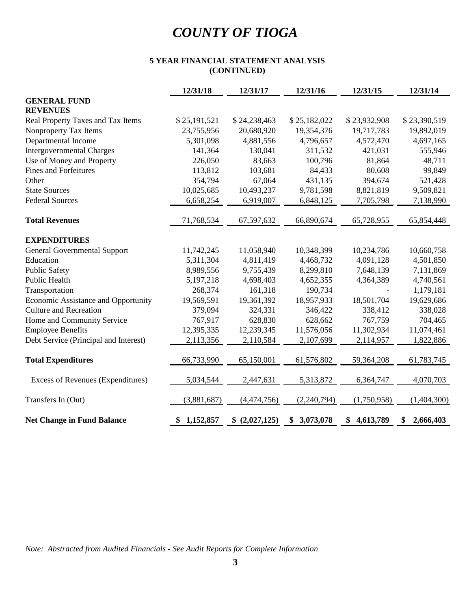#### **5 YEAR FINANCIAL STATEMENT ANALYSIS (CONTINUED)**

|                                       | 12/31/18     | 12/31/17       | 12/31/16     | 12/31/15        | 12/31/14        |
|---------------------------------------|--------------|----------------|--------------|-----------------|-----------------|
| <b>GENERAL FUND</b>                   |              |                |              |                 |                 |
| <b>REVENUES</b>                       |              |                |              |                 |                 |
| Real Property Taxes and Tax Items     | \$25,191,521 | \$24,238,463   | \$25,182,022 | \$23,932,908    | \$23,390,519    |
| Nonproperty Tax Items                 | 23,755,956   | 20,680,920     | 19,354,376   | 19,717,783      | 19,892,019      |
| Departmental Income                   | 5,301,098    | 4,881,556      | 4,796,657    | 4,572,470       | 4,697,165       |
| <b>Intergovernmental Charges</b>      | 141,364      | 130,041        | 311,532      | 421,031         | 555,946         |
| Use of Money and Property             | 226,050      | 83,663         | 100,796      | 81,864          | 48,711          |
| <b>Fines and Forfeitures</b>          | 113,812      | 103,681        | 84,433       | 80,608          | 99,849          |
| Other                                 | 354,794      | 67,064         | 431,135      | 394,674         | 521,428         |
| <b>State Sources</b>                  | 10,025,685   | 10,493,237     | 9,781,598    | 8,821,819       | 9,509,821       |
| <b>Federal Sources</b>                | 6,658,254    | 6,919,007      | 6,848,125    | 7,705,798       | 7,138,990       |
| <b>Total Revenues</b>                 | 71,768,534   | 67,597,632     | 66,890,674   | 65,728,955      | 65,854,448      |
| <b>EXPENDITURES</b>                   |              |                |              |                 |                 |
| <b>General Governmental Support</b>   | 11,742,245   | 11,058,940     | 10,348,399   | 10,234,786      | 10,660,758      |
| Education                             | 5,311,304    | 4,811,419      | 4,468,732    | 4,091,128       | 4,501,850       |
| <b>Public Safety</b>                  | 8,989,556    | 9,755,439      | 8,299,810    | 7,648,139       | 7,131,869       |
| Public Health                         | 5,197,218    | 4,698,403      | 4,652,355    | 4,364,389       | 4,740,561       |
| Transportation                        | 268,374      | 161,318        | 190,734      |                 | 1,179,181       |
| Economic Assistance and Opportunity   | 19,569,591   | 19,361,392     | 18,957,933   | 18,501,704      | 19,629,686      |
| <b>Culture and Recreation</b>         | 379,094      | 324,331        | 346,422      | 338,412         | 338,028         |
| Home and Community Service            | 767,917      | 628,830        | 628,662      | 767,759         | 704,465         |
| <b>Employee Benefits</b>              | 12,395,335   | 12,239,345     | 11,576,056   | 11,302,934      | 11,074,461      |
| Debt Service (Principal and Interest) | 2,113,356    | 2,110,584      | 2,107,699    | 2,114,957       | 1,822,886       |
| <b>Total Expenditures</b>             | 66,733,990   | 65,150,001     | 61,576,802   | 59,364,208      | 61,783,745      |
| Excess of Revenues (Expenditures)     | 5,034,544    | 2,447,631      | 5,313,872    | 6,364,747       | 4,070,703       |
| Transfers In (Out)                    | (3,881,687)  | (4,474,756)    | (2,240,794)  | (1,750,958)     | (1,404,300)     |
| <b>Net Change in Fund Balance</b>     | \$1,152,857  | \$ (2,027,125) | \$3,073,078  | 4,613,789<br>\$ | 2,666,403<br>\$ |

*Note: Abstracted from Audited Financials - See Audit Reports for Complete Information*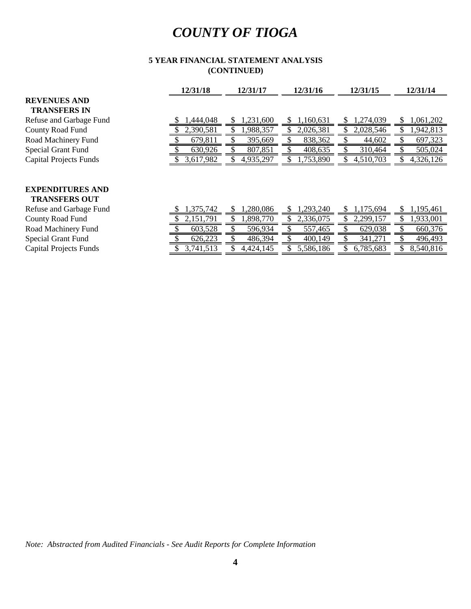#### **(CONTINUED) 5 YEAR FINANCIAL STATEMENT ANALYSIS**

|                               | 12/31/18  | 12/31/17  | 12/31/16       | 12/31/15       | 12/31/14       |
|-------------------------------|-----------|-----------|----------------|----------------|----------------|
| <b>REVENUES AND</b>           |           |           |                |                |                |
| <b>TRANSFERS IN</b>           |           |           |                |                |                |
| Refuse and Garbage Fund       | ,444,048  | ,231,600  | 1,160,631      | 274,039.<br>S  | 1,061,202<br>S |
| County Road Fund              | 2,390,581 | 1,988,357 | 2,026,381      | 2,028,546      | 1,942,813      |
| Road Machinery Fund           | 679,811   | 395,669   | 838,362        | 44,602         | 697,323        |
| <b>Special Grant Fund</b>     | 630,926   | 807,851   | 408,635        | 310,464        | 505,024        |
| <b>Capital Projects Funds</b> | 3,617,982 | 4,935,297 | 1,753,890      | 4,510,703      | 4,326,126      |
|                               |           |           |                |                |                |
|                               |           |           |                |                |                |
| <b>EXPENDITURES AND</b>       |           |           |                |                |                |
| <b>TRANSFERS OUT</b>          |           |           |                |                |                |
| Refuse and Garbage Fund       | 1,375,742 | 1,280,086 | 1,293,240<br>S | 1,175,694<br>S | 1,195,461<br>S |
| County Road Fund              | 2,151,791 | 1,898,770 | 2,336,075      | 2,299,157      | 1,933,001      |
| Road Machinery Fund           | 603,528   | 596,934   | 557,465        | 629,038        | 660,376        |
| <b>Special Grant Fund</b>     | 626,223   | 486,394   | 400,149        | 341,271        | 496,493        |
| <b>Capital Projects Funds</b> | 3,741,513 | 4,424,145 | 5,586,186      | 6,785,683      | 8,540,816      |

*Note: Abstracted from Audited Financials - See Audit Reports for Complete Information*